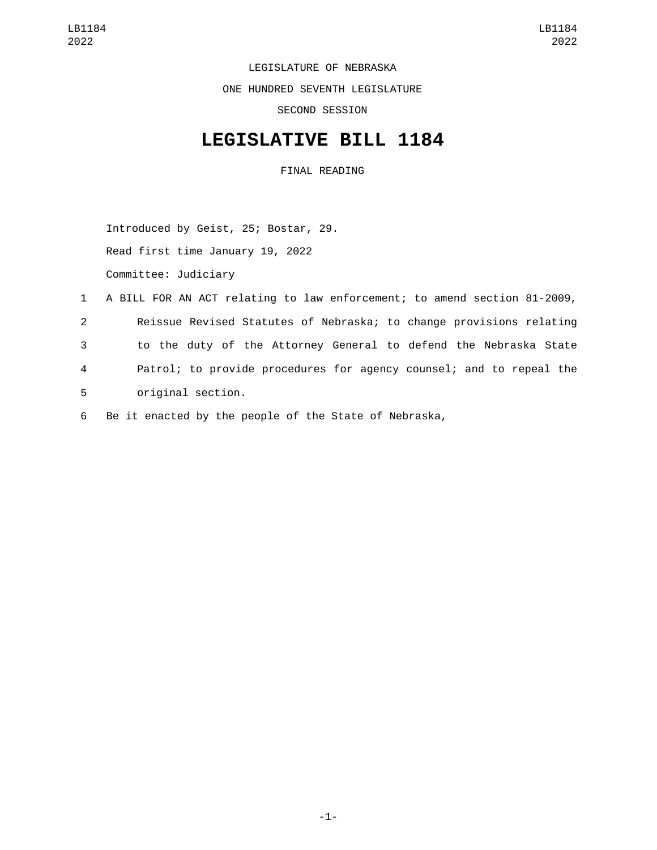LEGISLATURE OF NEBRASKA

ONE HUNDRED SEVENTH LEGISLATURE

SECOND SESSION

## **LEGISLATIVE BILL 1184**

FINAL READING

Introduced by Geist, 25; Bostar, 29.

Read first time January 19, 2022

Committee: Judiciary

|                | 1 A BILL FOR AN ACT relating to law enforcement; to amend section 81-2009, |
|----------------|----------------------------------------------------------------------------|
| 2              | Reissue Revised Statutes of Nebraska; to change provisions relating        |
| 3              | to the duty of the Attorney General to defend the Nebraska State           |
| $\overline{4}$ | Patrol; to provide procedures for agency counsel; and to repeal the        |
| 5 <sup>1</sup> | original section.                                                          |

6 Be it enacted by the people of the State of Nebraska,